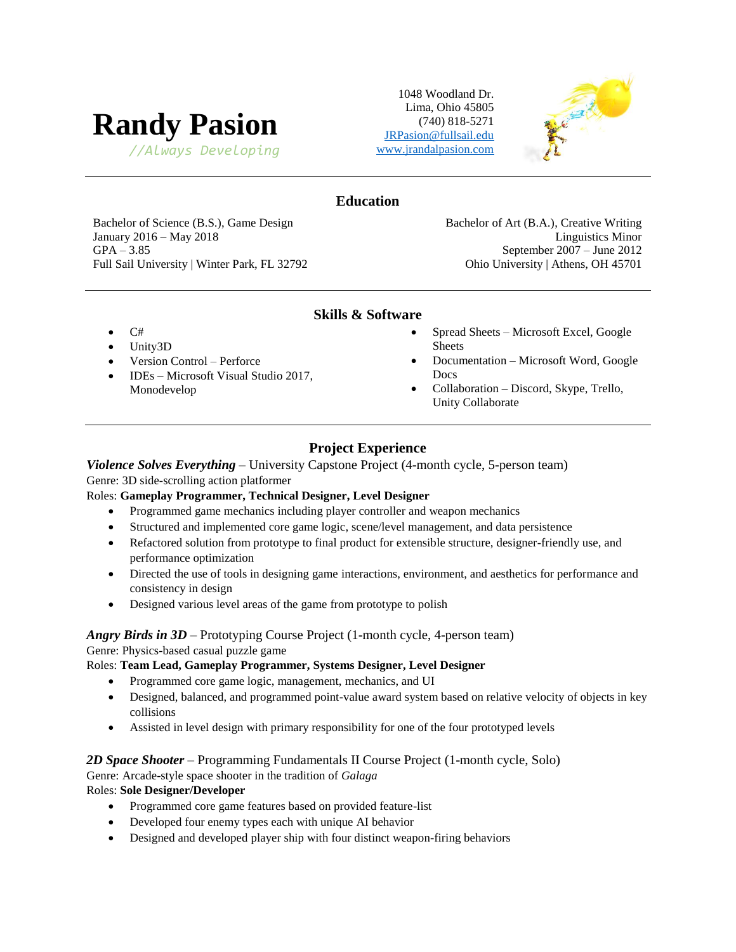# **Randy Pasion**

*//Always Developing* [www.jrandalpasion.com](http://www.jrandalpasion.com/)

1048 Woodland Dr. Lima, Ohio 45805 (740) 818-5271 [JRPasion@fullsail.edu](mailto:JRPasion@fullsail.edu)



# **Education**

Bachelor of Science (B.S.), Game Design Bachelor of Art (B.A.), Creative Writing January 2016 – May 2018 **Linguistics Minor** GPA – 3.85 September 2007 – June 2012 Full Sail University | Winter Park, FL 32792 Ohio University | Athens, OH 45701

# **Skills & Software**

- C#
- Unity3D
- Version Control Perforce
- IDEs Microsoft Visual Studio 2017, Monodevelop
- Spread Sheets Microsoft Excel, Google Sheets
- Documentation Microsoft Word, Google Docs
- Collaboration Discord, Skype, Trello, Unity Collaborate

# **Project Experience**

# *Violence Solves Everything* – University Capstone Project (4-month cycle, 5-person team) Genre: 3D side-scrolling action platformer

# Roles: **Gameplay Programmer, Technical Designer, Level Designer**

- Programmed game mechanics including player controller and weapon mechanics
- Structured and implemented core game logic, scene/level management, and data persistence
- Refactored solution from prototype to final product for extensible structure, designer-friendly use, and performance optimization
- Directed the use of tools in designing game interactions, environment, and aesthetics for performance and consistency in design
- Designed various level areas of the game from prototype to polish

#### *Angry Birds in 3D* – Prototyping Course Project (1-month cycle, 4-person team) Genre: Physics-based casual puzzle game

#### Roles: **Team Lead, Gameplay Programmer, Systems Designer, Level Designer**

- Programmed core game logic, management, mechanics, and UI
- Designed, balanced, and programmed point-value award system based on relative velocity of objects in key collisions
- Assisted in level design with primary responsibility for one of the four prototyped levels

# *2D Space Shooter* – Programming Fundamentals II Course Project (1-month cycle, Solo)

# Genre: Arcade-style space shooter in the tradition of *Galaga*

# Roles: **Sole Designer/Developer**

- Programmed core game features based on provided feature-list
- Developed four enemy types each with unique AI behavior
- Designed and developed player ship with four distinct weapon-firing behaviors